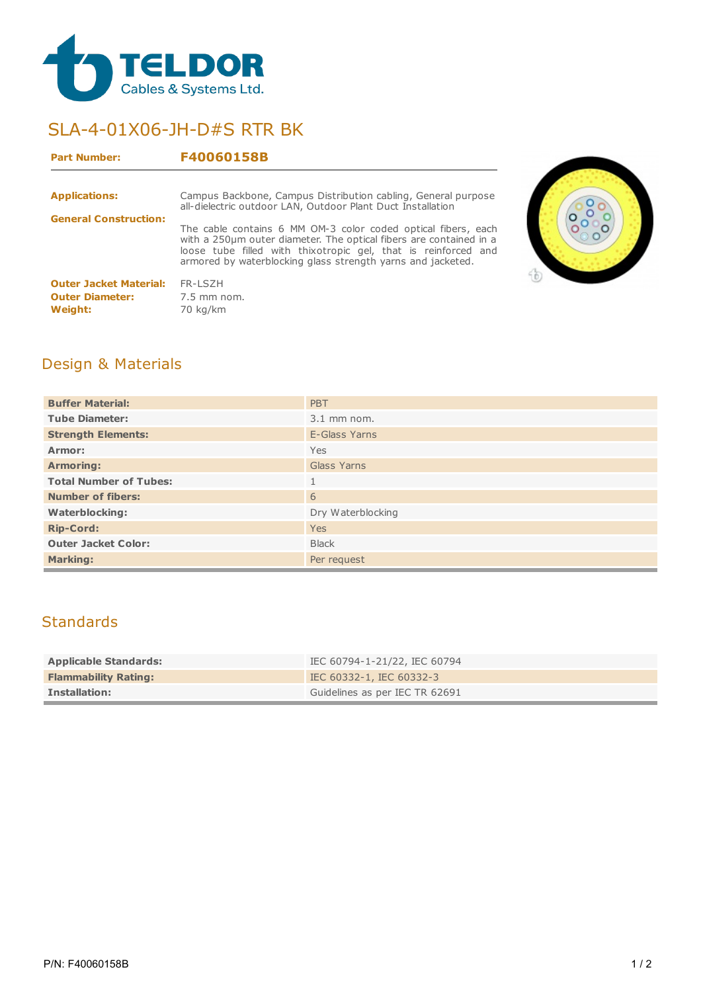

# SLA-4-01X06-JH-D#S RTR BK

#### **Part Number: F40060158B**

| <b>Applications:</b>                                               | Campus Backbone, Campus Distribution cabling, General purpose<br>all-dielectric outdoor LAN, Outdoor Plant Duct Installation                                                                                                                                          |
|--------------------------------------------------------------------|-----------------------------------------------------------------------------------------------------------------------------------------------------------------------------------------------------------------------------------------------------------------------|
| <b>General Construction:</b>                                       | The cable contains 6 MM OM-3 color coded optical fibers, each<br>with a 250 µm outer diameter. The optical fibers are contained in a<br>loose tube filled with thixotropic gel, that is reinforced and<br>armored by waterblocking glass strength yarns and jacketed. |
| <b>Outer Jacket Material:</b><br><b>Outer Diameter:</b><br>Weight: | FR-LSZH<br>7.5 mm nom.<br>70 kg/km                                                                                                                                                                                                                                    |



## Design & Materials

| <b>Buffer Material:</b>       | <b>PBT</b>        |  |
|-------------------------------|-------------------|--|
| <b>Tube Diameter:</b>         | $3.1$ mm nom.     |  |
| <b>Strength Elements:</b>     | E-Glass Yarns     |  |
| Armor:                        | Yes               |  |
| <b>Armoring:</b>              | Glass Yarns       |  |
| <b>Total Number of Tubes:</b> | 1                 |  |
| <b>Number of fibers:</b>      | 6                 |  |
| <b>Waterblocking:</b>         | Dry Waterblocking |  |
| <b>Rip-Cord:</b>              | Yes               |  |
| <b>Outer Jacket Color:</b>    | <b>Black</b>      |  |
| <b>Marking:</b>               | Per request       |  |

## **Standards**

| <b>Applicable Standards:</b> | IEC 60794-1-21/22, IEC 60794   |
|------------------------------|--------------------------------|
| <b>Flammability Rating:</b>  | IEC 60332-1, IEC 60332-3       |
| <b>Installation:</b>         | Guidelines as per IEC TR 62691 |